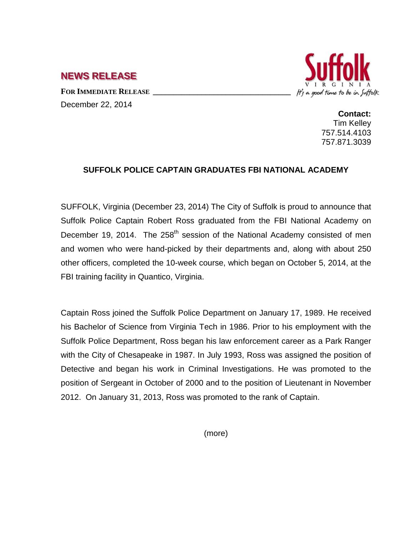**NEWS RELEASE**

FOR **IMMEDIATE RELEASE** December 22, 2014



**Contact:** Tim Kelley 757.514.4103 757.871.3039

## **SUFFOLK POLICE CAPTAIN GRADUATES FBI NATIONAL ACADEMY**

SUFFOLK, Virginia (December 23, 2014) The City of Suffolk is proud to announce that Suffolk Police Captain Robert Ross graduated from the FBI National Academy on December 19, 2014. The  $258<sup>th</sup>$  session of the National Academy consisted of men and women who were hand-picked by their departments and, along with about 250 other officers, completed the 10-week course, which began on October 5, 2014, at the FBI training facility in Quantico, Virginia.

Captain Ross joined the Suffolk Police Department on January 17, 1989. He received his Bachelor of Science from Virginia Tech in 1986. Prior to his employment with the Suffolk Police Department, Ross began his law enforcement career as a Park Ranger with the City of Chesapeake in 1987. In July 1993, Ross was assigned the position of Detective and began his work in Criminal Investigations. He was promoted to the position of Sergeant in October of 2000 and to the position of Lieutenant in November 2012. On January 31, 2013, Ross was promoted to the rank of Captain.

(more)